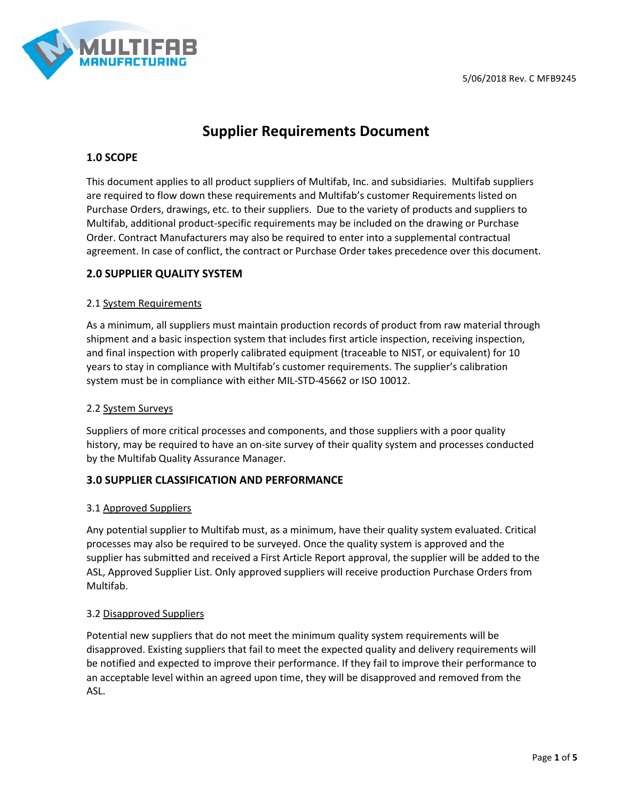

# **Supplier Requirements Document**

# **1.0 SCOPE**

This document applies to all product suppliers of Multifab, Inc. and subsidiaries. Multifab suppliers are required to flow down these requirements and Multifab's customer Requirements listed on Purchase Orders, drawings, etc. to their suppliers. Due to the variety of products and suppliers to Multifab, additional product-specific requirements may be included on the drawing or Purchase Order. Contract Manufacturers may also be required to enter into a supplemental contractual agreement. In case of conflict, the contract or Purchase Order takes precedence over this document.

# **2.0 SUPPLIER QUALITY SYSTEM**

## 2.1 System Requirements

As a minimum, all suppliers must maintain production records of product from raw material through shipment and a basic inspection system that includes first article inspection, receiving inspection, and final inspection with properly calibrated equipment (traceable to NIST, or equivalent) for 10 years to stay in compliance with Multifab's customer requirements. The supplier's calibration system must be in compliance with either MIL-STD-45662 or ISO 10012.

#### 2.2 System Surveys

Suppliers of more critical processes and components, and those suppliers with a poor quality history, may be required to have an on-site survey of their quality system and processes conducted by the Multifab Quality Assurance Manager.

# **3.0 SUPPLIER CLASSIFICATION AND PERFORMANCE**

#### 3.1 Approved Suppliers

Any potential supplier to Multifab must, as a minimum, have their quality system evaluated. Critical processes may also be required to be surveyed. Once the quality system is approved and the supplier has submitted and received a First Article Report approval, the supplier will be added to the ASL, Approved Supplier List. Only approved suppliers will receive production Purchase Orders from Multifab.

#### 3.2 Disapproved Suppliers

Potential new suppliers that do not meet the minimum quality system requirements will be disapproved. Existing suppliers that fail to meet the expected quality and delivery requirements will be notified and expected to improve their performance. If they fail to improve their performance to an acceptable level within an agreed upon time, they will be disapproved and removed from the ASL.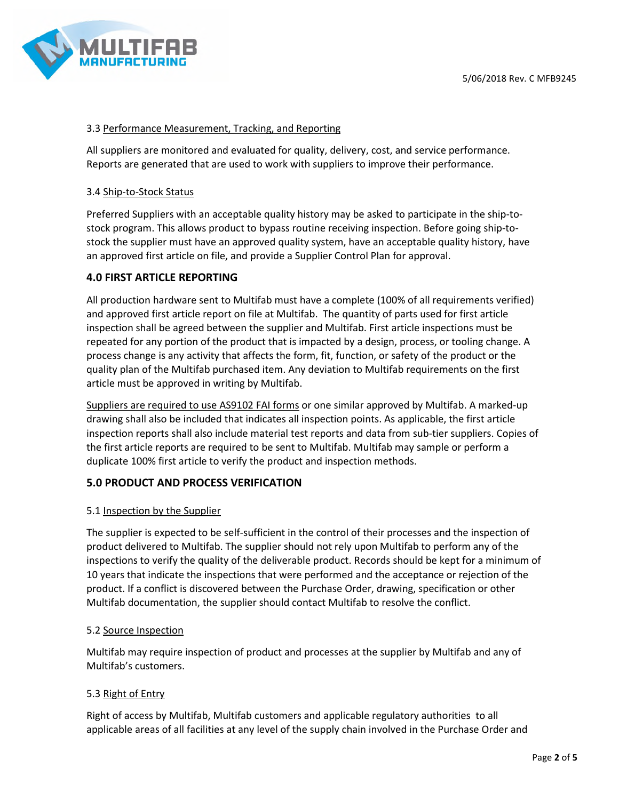

### 3.3 Performance Measurement, Tracking, and Reporting

All suppliers are monitored and evaluated for quality, delivery, cost, and service performance. Reports are generated that are used to work with suppliers to improve their performance.

#### 3.4 Ship-to-Stock Status

Preferred Suppliers with an acceptable quality history may be asked to participate in the ship-tostock program. This allows product to bypass routine receiving inspection. Before going ship-tostock the supplier must have an approved quality system, have an acceptable quality history, have an approved first article on file, and provide a Supplier Control Plan for approval.

## **4.0 FIRST ARTICLE REPORTING**

All production hardware sent to Multifab must have a complete (100% of all requirements verified) and approved first article report on file at Multifab. The quantity of parts used for first article inspection shall be agreed between the supplier and Multifab. First article inspections must be repeated for any portion of the product that is impacted by a design, process, or tooling change. A process change is any activity that affects the form, fit, function, or safety of the product or the quality plan of the Multifab purchased item. Any deviation to Multifab requirements on the first article must be approved in writing by Multifab.

Suppliers are required to use AS9102 FAI forms or one similar approved by Multifab. A marked-up drawing shall also be included that indicates all inspection points. As applicable, the first article inspection reports shall also include material test reports and data from sub-tier suppliers. Copies of the first article reports are required to be sent to Multifab. Multifab may sample or perform a duplicate 100% first article to verify the product and inspection methods.

#### **5.0 PRODUCT AND PROCESS VERIFICATION**

#### 5.1 Inspection by the Supplier

The supplier is expected to be self-sufficient in the control of their processes and the inspection of product delivered to Multifab. The supplier should not rely upon Multifab to perform any of the inspections to verify the quality of the deliverable product. Records should be kept for a minimum of 10 years that indicate the inspections that were performed and the acceptance or rejection of the product. If a conflict is discovered between the Purchase Order, drawing, specification or other Multifab documentation, the supplier should contact Multifab to resolve the conflict.

#### 5.2 Source Inspection

Multifab may require inspection of product and processes at the supplier by Multifab and any of Multifab's customers.

#### 5.3 Right of Entry

Right of access by Multifab, Multifab customers and applicable regulatory authorities to all applicable areas of all facilities at any level of the supply chain involved in the Purchase Order and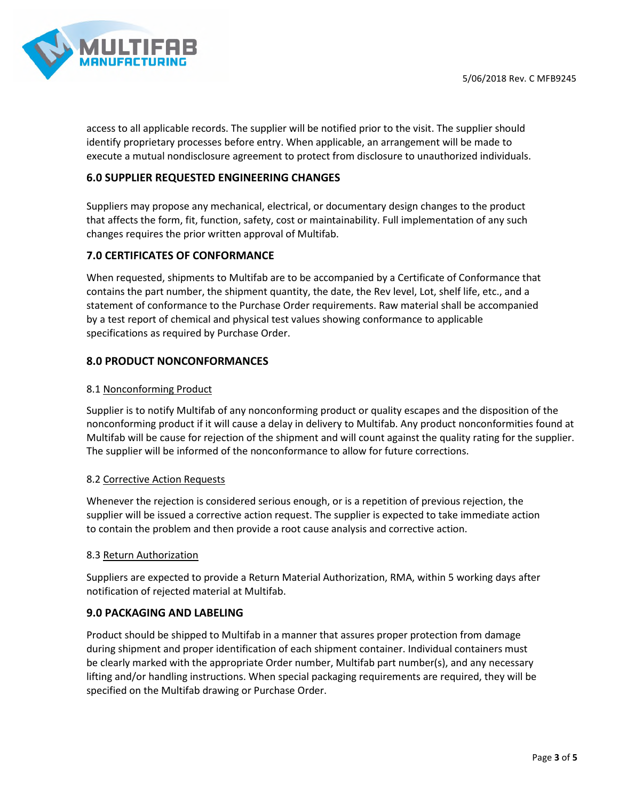

access to all applicable records. The supplier will be notified prior to the visit. The supplier should identify proprietary processes before entry. When applicable, an arrangement will be made to execute a mutual nondisclosure agreement to protect from disclosure to unauthorized individuals.

# **6.0 SUPPLIER REQUESTED ENGINEERING CHANGES**

Suppliers may propose any mechanical, electrical, or documentary design changes to the product that affects the form, fit, function, safety, cost or maintainability. Full implementation of any such changes requires the prior written approval of Multifab.

# **7.0 CERTIFICATES OF CONFORMANCE**

When requested, shipments to Multifab are to be accompanied by a Certificate of Conformance that contains the part number, the shipment quantity, the date, the Rev level, Lot, shelf life, etc., and a statement of conformance to the Purchase Order requirements. Raw material shall be accompanied by a test report of chemical and physical test values showing conformance to applicable specifications as required by Purchase Order.

# **8.0 PRODUCT NONCONFORMANCES**

## 8.1 Nonconforming Product

Supplier is to notify Multifab of any nonconforming product or quality escapes and the disposition of the nonconforming product if it will cause a delay in delivery to Multifab. Any product nonconformities found at Multifab will be cause for rejection of the shipment and will count against the quality rating for the supplier. The supplier will be informed of the nonconformance to allow for future corrections.

#### 8.2 Corrective Action Requests

Whenever the rejection is considered serious enough, or is a repetition of previous rejection, the supplier will be issued a corrective action request. The supplier is expected to take immediate action to contain the problem and then provide a root cause analysis and corrective action.

#### 8.3 Return Authorization

Suppliers are expected to provide a Return Material Authorization, RMA, within 5 working days after notification of rejected material at Multifab.

# **9.0 PACKAGING AND LABELING**

Product should be shipped to Multifab in a manner that assures proper protection from damage during shipment and proper identification of each shipment container. Individual containers must be clearly marked with the appropriate Order number, Multifab part number(s), and any necessary lifting and/or handling instructions. When special packaging requirements are required, they will be specified on the Multifab drawing or Purchase Order.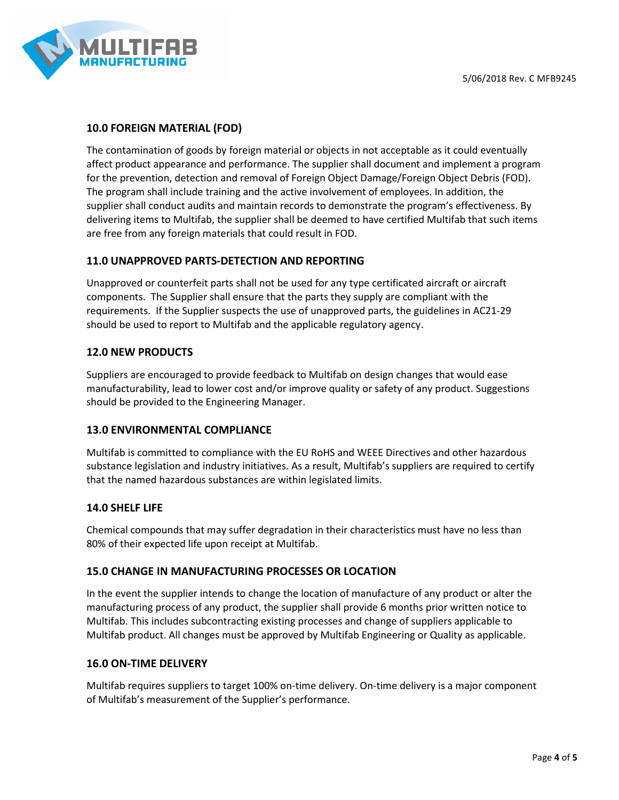# **10.0 FOREIGN MATERIAL (FOD)**

The contamination of goods by foreign material or objects in not acceptable as it could eventually affect product appearance and performance. The supplier shall document and implement a program for the prevention, detection and removal of Foreign Object Damage/Foreign Object Debris (FOD). The program shall include training and the active involvement of employees. In addition, the supplier shall conduct audits and maintain records to demonstrate the program's effectiveness. By delivering items to Multifab, the supplier shall be deemed to have certified Multifab that such items are free from any foreign materials that could result in FOD.

# **11.0 UNAPPROVED PARTS-DETECTION AND REPORTING**

Unapproved or counterfeit parts shall not be used for any type certificated aircraft or aircraft components. The Supplier shall ensure that the parts they supply are compliant with the requirements. If the Supplier suspects the use of unapproved parts, the guidelines in AC21-29 should be used to report to Multifab and the applicable regulatory agency.

# **12.0 NEW PRODUCTS**

Suppliers are encouraged to provide feedback to Multifab on design changes that would ease manufacturability, lead to lower cost and/or improve quality or safety of any product. Suggestions should be provided to the Engineering Manager.

# **13.0 ENVIRONMENTAL COMPLIANCE**

Multifab is committed to compliance with the EU RoHS and WEEE Directives and other hazardous substance legislation and industry initiatives. As a result, Multifab's suppliers are required to certify that the named hazardous substances are within legislated limits.

#### **14.0 SHELF LIFE**

Chemical compounds that may suffer degradation in their characteristics must have no less than 80% of their expected life upon receipt at Multifab.

#### **15.0 CHANGE IN MANUFACTURING PROCESSES OR LOCATION**

In the event the supplier intends to change the location of manufacture of any product or alter the manufacturing process of any product, the supplier shall provide 6 months prior written notice to Multifab. This includes subcontracting existing processes and change of suppliers applicable to Multifab product. All changes must be approved by Multifab Engineering or Quality as applicable.

#### **16.0 ON-TIME DELIVERY**

Multifab requires suppliers to target 100% on-time delivery. On-time delivery is a major component of Multifab's measurement of the Supplier's performance.